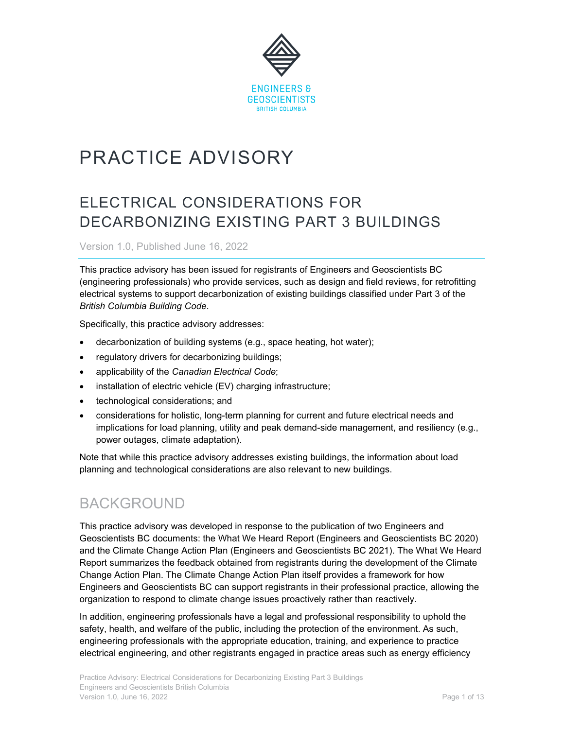

# PRACTICE ADVISORY

# ELECTRICAL CONSIDERATIONS FOR DECARBONIZING EXISTING PART 3 BUILDINGS

Version 1.0, Published June 16, 2022

This practice advisory has been issued for registrants of Engineers and Geoscientists BC (engineering professionals) who provide services, such as design and field reviews, for retrofitting electrical systems to support decarbonization of existing buildings classified under Part 3 of the *British Columbia Building Code*.

Specifically, this practice advisory addresses:

- decarbonization of building systems (e.g., space heating, hot water);
- regulatory drivers for decarbonizing buildings;
- applicability of the *Canadian Electrical Code*;
- installation of electric vehicle (EV) charging infrastructure;
- technological considerations; and
- considerations for holistic, long-term planning for current and future electrical needs and implications for load planning, utility and peak demand-side management, and resiliency (e.g., power outages, climate adaptation).

Note that while this practice advisory addresses existing buildings, the information about load planning and technological considerations are also relevant to new buildings.

### BACKGROUND

This practice advisory was developed in response to the publication of two Engineers and Geoscientists BC documents: the What We Heard Report (Engineers and Geoscientists BC 2020) and the Climate Change Action Plan (Engineers and Geoscientists BC 2021). The What We Heard Report summarizes the feedback obtained from registrants during the development of the Climate Change Action Plan. The Climate Change Action Plan itself provides a framework for how Engineers and Geoscientists BC can support registrants in their professional practice, allowing the organization to respond to climate change issues proactively rather than reactively.

In addition, engineering professionals have a legal and professional responsibility to uphold the safety, health, and welfare of the public, including the protection of the environment. As such, engineering professionals with the appropriate education, training, and experience to practice electrical engineering, and other registrants engaged in practice areas such as energy efficiency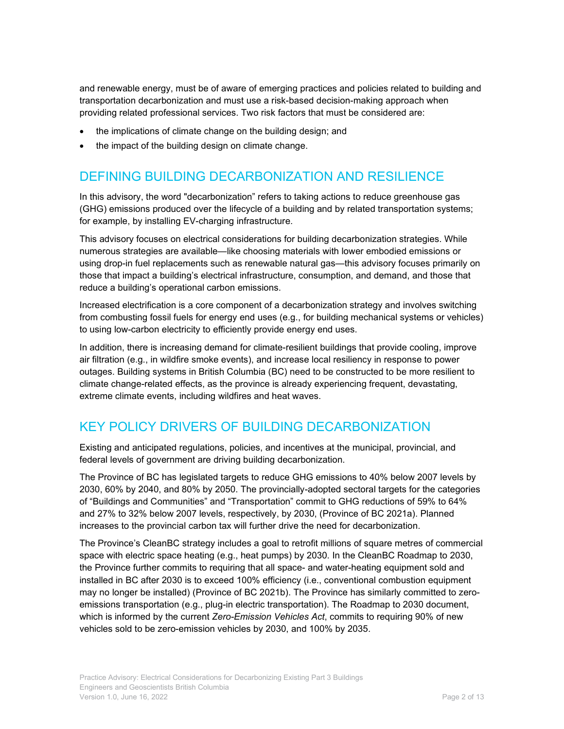and renewable energy, must be of aware of emerging practices and policies related to building and transportation decarbonization and must use a risk-based decision-making approach when providing related professional services. Two risk factors that must be considered are:

- the implications of climate change on the building design; and
- the impact of the building design on climate change.

### DEFINING BUILDING DECARBONIZATION AND RESILIENCE

In this advisory, the word "decarbonization" refers to taking actions to reduce greenhouse gas (GHG) emissions produced over the lifecycle of a building and by related transportation systems; for example, by installing EV-charging infrastructure.

This advisory focuses on electrical considerations for building decarbonization strategies. While numerous strategies are available—like choosing materials with lower embodied emissions or using drop-in fuel replacements such as renewable natural gas—this advisory focuses primarily on those that impact a building's electrical infrastructure, consumption, and demand, and those that reduce a building's operational carbon emissions.

Increased electrification is a core component of a decarbonization strategy and involves switching from combusting fossil fuels for energy end uses (e.g., for building mechanical systems or vehicles) to using low-carbon electricity to efficiently provide energy end uses.

In addition, there is increasing demand for climate-resilient buildings that provide cooling, improve air filtration (e.g., in wildfire smoke events), and increase local resiliency in response to power outages. Building systems in British Columbia (BC) need to be constructed to be more resilient to climate change-related effects, as the province is already experiencing frequent, devastating, extreme climate events, including wildfires and heat waves.

### KEY POLICY DRIVERS OF BUILDING DECARBONIZATION

Existing and anticipated regulations, policies, and incentives at the municipal, provincial, and federal levels of government are driving building decarbonization.

The Province of BC has legislated targets to reduce GHG emissions to 40% below 2007 levels by 2030, 60% by 2040, and 80% by 2050. The provincially-adopted sectoral targets for the categories of "Buildings and Communities" and "Transportation" commit to GHG reductions of 59% to 64% and 27% to 32% below 2007 levels, respectively, by 2030, (Province of BC 2021a). Planned increases to the provincial carbon tax will further drive the need for decarbonization.

The Province's CleanBC strategy includes a goal to retrofit millions of square metres of commercial space with electric space heating (e.g., heat pumps) by 2030. In the CleanBC Roadmap to 2030, the Province further commits to requiring that all space- and water-heating equipment sold and installed in BC after 2030 is to exceed 100% efficiency (i.e., conventional combustion equipment may no longer be installed) (Province of BC 2021b). The Province has similarly committed to zeroemissions transportation (e.g., plug-in electric transportation). The Roadmap to 2030 document, which is informed by the current *Zero-Emission Vehicles Act*, commits to requiring 90% of new vehicles sold to be zero-emission vehicles by 2030, and 100% by 2035.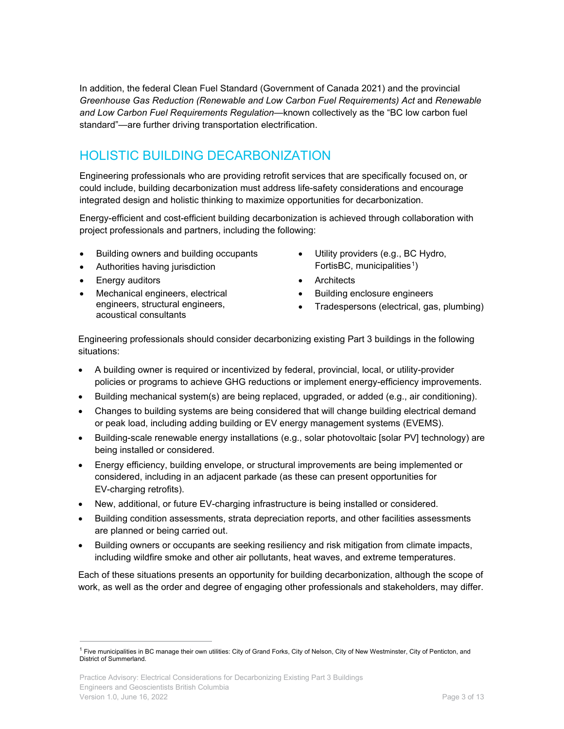In addition, the federal Clean Fuel Standard (Government of Canada 2021) and the provincial *Greenhouse Gas Reduction (Renewable and Low Carbon Fuel Requirements) Act* and *Renewable and Low Carbon Fuel Requirements Regulation*—known collectively as the "BC low carbon fuel standard"—are further driving transportation electrification.

### <span id="page-2-1"></span>HOLISTIC BUILDING DECARBONIZATION

Engineering professionals who are providing retrofit services that are specifically focused on, or could include, building decarbonization must address life-safety considerations and encourage integrated design and holistic thinking to maximize opportunities for decarbonization.

Energy-efficient and cost-efficient building decarbonization is achieved through collaboration with project professionals and partners, including the following:

- Building owners and building occupants
- Authorities having jurisdiction
- **Energy auditors**
- Mechanical engineers, electrical engineers, structural engineers, acoustical consultants
- Utility providers (e.g., BC Hydro, FortisBC, municipalities<sup>1</sup>)
- Architects
- Building enclosure engineers
- Tradespersons (electrical, gas, plumbing)

Engineering professionals should consider decarbonizing existing Part 3 buildings in the following situations:

- A building owner is required or incentivized by federal, provincial, local, or utility-provider policies or programs to achieve GHG reductions or implement energy-efficiency improvements.
- Building mechanical system(s) are being replaced, upgraded, or added (e.g., air conditioning).
- Changes to building systems are being considered that will change building electrical demand or peak load, including adding building or EV energy management systems (EVEMS).
- Building-scale renewable energy installations (e.g., solar photovoltaic [solar PV] technology) are being installed or considered.
- Energy efficiency, building envelope, or structural improvements are being implemented or considered, including in an adjacent parkade (as these can present opportunities for EV-charging retrofits).
- New, additional, or future EV-charging infrastructure is being installed or considered.
- Building condition assessments, strata depreciation reports, and other facilities assessments are planned or being carried out.
- Building owners or occupants are seeking resiliency and risk mitigation from climate impacts, including wildfire smoke and other air pollutants, heat waves, and extreme temperatures.

Each of these situations presents an opportunity for building decarbonization, although the scope of work, as well as the order and degree of engaging other professionals and stakeholders, may differ.

<span id="page-2-0"></span><sup>&</sup>lt;sup>1</sup> Five municipalities in BC manage their own utilities: City of Grand Forks, City of Nelson, City of New Westminster, City of Penticton, and District of Summerland.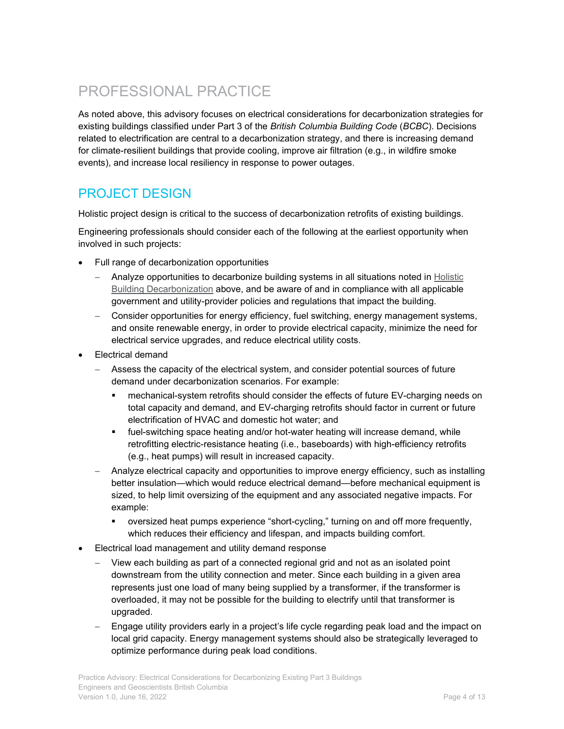# PROFESSIONAL PRACTICE

As noted above, this advisory focuses on electrical considerations for decarbonization strategies for existing buildings classified under Part 3 of the *British Columbia Building Code* (*BCBC*). Decisions related to electrification are central to a decarbonization strategy, and there is increasing demand for climate-resilient buildings that provide cooling, improve air filtration (e.g., in wildfire smoke events), and increase local resiliency in response to power outages.

### PROJECT DESIGN

Holistic project design is critical to the success of decarbonization retrofits of existing buildings.

Engineering professionals should consider each of the following at the earliest opportunity when involved in such projects:

- Full range of decarbonization opportunities
	- − Analyze opportunities to decarbonize building systems in all situations noted in [Holistic](#page-2-1)  [Building Decarbonization](#page-2-1) above, and be aware of and in compliance with all applicable government and utility-provider policies and regulations that impact the building.
	- − Consider opportunities for energy efficiency, fuel switching, energy management systems, and onsite renewable energy, in order to provide electrical capacity, minimize the need for electrical service upgrades, and reduce electrical utility costs.
- Electrical demand
	- − Assess the capacity of the electrical system, and consider potential sources of future demand under decarbonization scenarios. For example:
		- mechanical-system retrofits should consider the effects of future EV-charging needs on total capacity and demand, and EV-charging retrofits should factor in current or future electrification of HVAC and domestic hot water; and
		- fuel-switching space heating and/or hot-water heating will increase demand, while retrofitting electric-resistance heating (i.e., baseboards) with high-efficiency retrofits (e.g., heat pumps) will result in increased capacity.
	- − Analyze electrical capacity and opportunities to improve energy efficiency, such as installing better insulation—which would reduce electrical demand—before mechanical equipment is sized, to help limit oversizing of the equipment and any associated negative impacts. For example:
		- oversized heat pumps experience "short-cycling," turning on and off more frequently, which reduces their efficiency and lifespan, and impacts building comfort.
- Electrical load management and utility demand response
	- − View each building as part of a connected regional grid and not as an isolated point downstream from the utility connection and meter. Since each building in a given area represents just one load of many being supplied by a transformer, if the transformer is overloaded, it may not be possible for the building to electrify until that transformer is upgraded.
	- − Engage utility providers early in a project's life cycle regarding peak load and the impact on local grid capacity. Energy management systems should also be strategically leveraged to optimize performance during peak load conditions.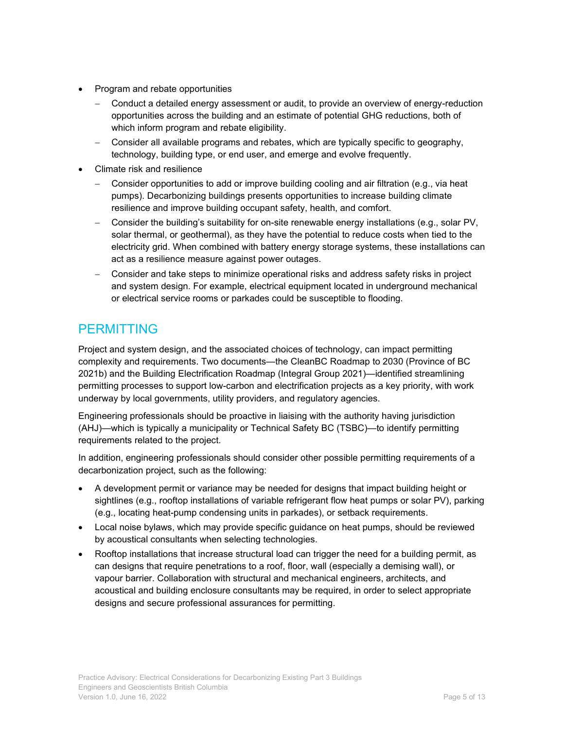- Program and rebate opportunities
	- − Conduct a detailed energy assessment or audit, to provide an overview of energy-reduction opportunities across the building and an estimate of potential GHG reductions, both of which inform program and rebate eligibility.
	- − Consider all available programs and rebates, which are typically specific to geography, technology, building type, or end user, and emerge and evolve frequently.
- Climate risk and resilience
	- − Consider opportunities to add or improve building cooling and air filtration (e.g., via heat pumps). Decarbonizing buildings presents opportunities to increase building climate resilience and improve building occupant safety, health, and comfort.
	- − Consider the building's suitability for on-site renewable energy installations (e.g., solar PV, solar thermal, or geothermal), as they have the potential to reduce costs when tied to the electricity grid. When combined with battery energy storage systems, these installations can act as a resilience measure against power outages.
	- − Consider and take steps to minimize operational risks and address safety risks in project and system design. For example, electrical equipment located in underground mechanical or electrical service rooms or parkades could be susceptible to flooding.

### PERMITTING

Project and system design, and the associated choices of technology, can impact permitting complexity and requirements. Two documents—the CleanBC Roadmap to 2030 (Province of BC 2021b) and the Building Electrification Roadmap (Integral Group 2021)—identified streamlining permitting processes to support low-carbon and electrification projects as a key priority, with work underway by local governments, utility providers, and regulatory agencies.

Engineering professionals should be proactive in liaising with the authority having jurisdiction (AHJ)—which is typically a municipality or Technical Safety BC (TSBC)—to identify permitting requirements related to the project.

In addition, engineering professionals should consider other possible permitting requirements of a decarbonization project, such as the following:

- A development permit or variance may be needed for designs that impact building height or sightlines (e.g., rooftop installations of variable refrigerant flow heat pumps or solar PV), parking (e.g., locating heat-pump condensing units in parkades), or setback requirements.
- Local noise bylaws, which may provide specific guidance on heat pumps, should be reviewed by acoustical consultants when selecting technologies.
- Rooftop installations that increase structural load can trigger the need for a building permit, as can designs that require penetrations to a roof, floor, wall (especially a demising wall), or vapour barrier. Collaboration with structural and mechanical engineers, architects, and acoustical and building enclosure consultants may be required, in order to select appropriate designs and secure professional assurances for permitting.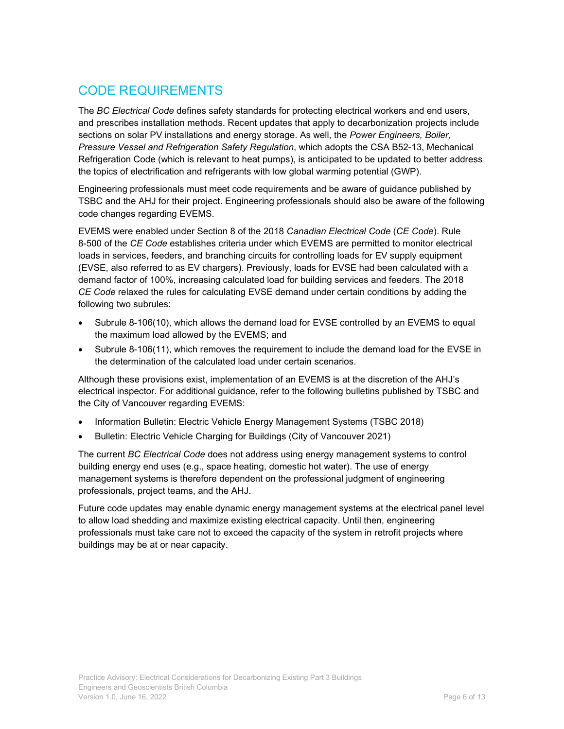### CODE REQUIREMENTS

The *BC Electrical Code* defines safety standards for protecting electrical workers and end users, and prescribes installation methods. Recent updates that apply to decarbonization projects include sections on solar PV installations and energy storage. As well, the *Power Engineers, Boiler, Pressure Vessel and Refrigeration Safety Regulation*, which adopts the CSA B52-13, Mechanical Refrigeration Code (which is relevant to heat pumps), is anticipated to be updated to better address the topics of electrification and refrigerants with low global warming potential (GWP).

Engineering professionals must meet code requirements and be aware of guidance published by TSBC and the AHJ for their project. Engineering professionals should also be aware of the following code changes regarding EVEMS.

EVEMS were enabled under Section 8 of the 2018 *Canadian Electrical Code* (*CE Code*). Rule 8-500 of the *CE Code* establishes criteria under which EVEMS are permitted to monitor electrical loads in services, feeders, and branching circuits for controlling loads for EV supply equipment (EVSE, also referred to as EV chargers). Previously, loads for EVSE had been calculated with a demand factor of 100%, increasing calculated load for building services and feeders. The 2018 *CE Code* relaxed the rules for calculating EVSE demand under certain conditions by adding the following two subrules:

- Subrule 8-106(10), which allows the demand load for EVSE controlled by an EVEMS to equal the maximum load allowed by the EVEMS; and
- Subrule 8-106(11), which removes the requirement to include the demand load for the EVSE in the determination of the calculated load under certain scenarios.

Although these provisions exist, implementation of an EVEMS is at the discretion of the AHJ's electrical inspector. For additional guidance, refer to the following bulletins published by TSBC and the City of Vancouver regarding EVEMS:

- Information Bulletin: Electric Vehicle Energy Management Systems (TSBC 2018)
- Bulletin: Electric Vehicle Charging for Buildings (City of Vancouver 2021)

The current *BC Electrical Code* does not address using energy management systems to control building energy end uses (e.g., space heating, domestic hot water). The use of energy management systems is therefore dependent on the professional judgment of engineering professionals, project teams, and the AHJ.

Future code updates may enable dynamic energy management systems at the electrical panel level to allow load shedding and maximize existing electrical capacity. Until then, engineering professionals must take care not to exceed the capacity of the system in retrofit projects where buildings may be at or near capacity.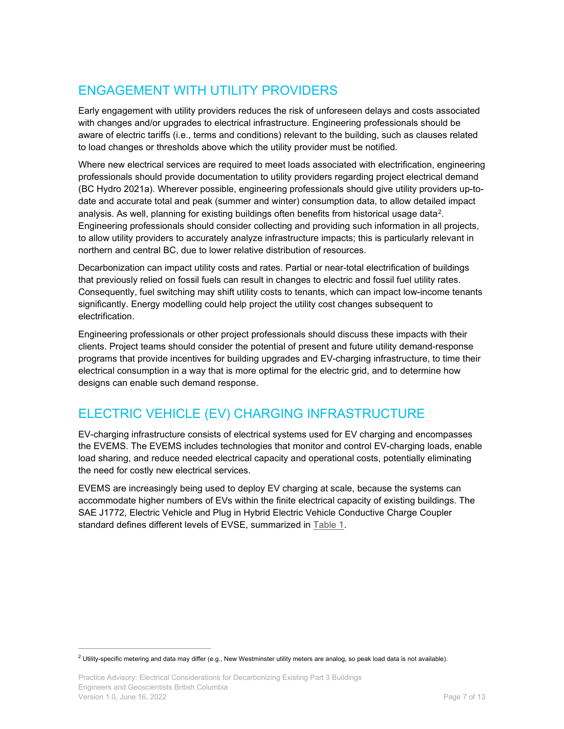### ENGAGEMENT WITH UTILITY PROVIDERS

Early engagement with utility providers reduces the risk of unforeseen delays and costs associated with changes and/or upgrades to electrical infrastructure. Engineering professionals should be aware of electric tariffs (i.e., terms and conditions) relevant to the building, such as clauses related to load changes or thresholds above which the utility provider must be notified.

Where new electrical services are required to meet loads associated with electrification, engineering professionals should provide documentation to utility providers regarding project electrical demand (BC Hydro 2021a). Wherever possible, engineering professionals should give utility providers up-todate and accurate total and peak (summer and winter) consumption data, to allow detailed impact analysis. As well, planning for existing buildings often benefits from historical usage data<sup>[2](#page-6-0)</sup>. Engineering professionals should consider collecting and providing such information in all projects, to allow utility providers to accurately analyze infrastructure impacts; this is particularly relevant in northern and central BC, due to lower relative distribution of resources.

Decarbonization can impact utility costs and rates. Partial or near-total electrification of buildings that previously relied on fossil fuels can result in changes to electric and fossil fuel utility rates. Consequently, fuel switching may shift utility costs to tenants, which can impact low-income tenants significantly. Energy modelling could help project the utility cost changes subsequent to electrification.

Engineering professionals or other project professionals should discuss these impacts with their clients. Project teams should consider the potential of present and future utility demand-response programs that provide incentives for building upgrades and EV-charging infrastructure, to time their electrical consumption in a way that is more optimal for the electric grid, and to determine how designs can enable such demand response.

### ELECTRIC VEHICLE (EV) CHARGING INFRASTRUCTURE

EV-charging infrastructure consists of electrical systems used for EV charging and encompasses the EVEMS. The EVEMS includes technologies that monitor and control EV-charging loads, enable load sharing, and reduce needed electrical capacity and operational costs, potentially eliminating the need for costly new electrical services.

EVEMS are increasingly being used to deploy EV charging at scale, because the systems can accommodate higher numbers of EVs within the finite electrical capacity of existing buildings. The SAE J1772, Electric Vehicle and Plug in Hybrid Electric Vehicle Conductive Charge Coupler standard defines different levels of EVSE, summarized in [Table 1.](#page-7-0)

<span id="page-6-0"></span> $2$  Utility-specific metering and data may differ (e.g., New Westminster utility meters are analog, so peak load data is not available).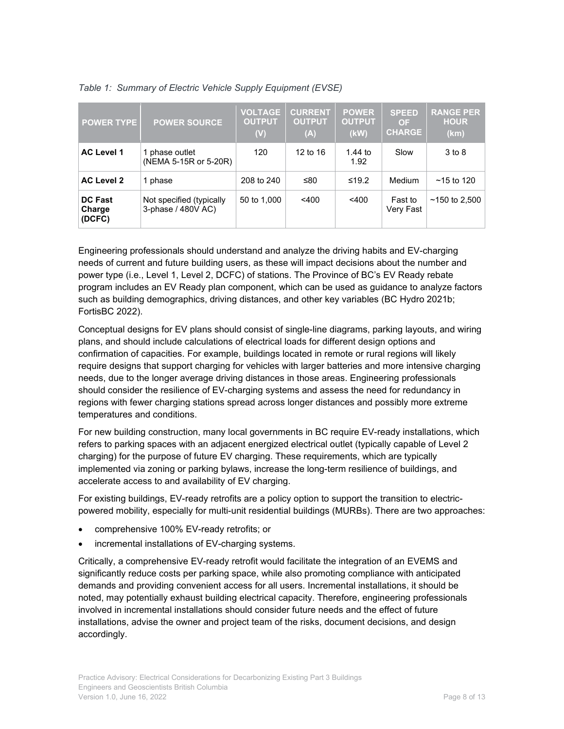| <b>POWER TYPE</b>                  | <b>POWER SOURCE</b>                            | <b>VOLTAGE</b><br><b>OUTPUT</b><br>(V) | <b>CURRENT</b><br><b>OUTPUT</b><br>(A) | <b>POWER</b><br><b>OUTPUT</b><br>(kW) | <b>SPEED</b><br><b>OF</b><br><b>CHARGE</b> | <b>RANGE PER</b><br><b>HOUR</b><br>(km) |
|------------------------------------|------------------------------------------------|----------------------------------------|----------------------------------------|---------------------------------------|--------------------------------------------|-----------------------------------------|
| <b>AC Level 1</b>                  | 1 phase outlet<br>(NEMA 5-15R or 5-20R)        | 120                                    | $12$ to $16$                           | 1.44 to<br>1.92                       | Slow                                       | 3 to 8                                  |
| <b>AC Level 2</b>                  | 1 phase                                        | 208 to 240                             | ≤80                                    | $≤19.2$                               | Medium                                     | $~15$ to 120                            |
| <b>DC Fast</b><br>Charge<br>(DCFC) | Not specified (typically<br>3-phase / 480V AC) | 50 to 1,000                            | $<$ 400                                | $<$ 400                               | Fast to<br>Very Fast                       | $~150$ to 2.500                         |

<span id="page-7-0"></span>

|  |  |  | Table 1: Summary of Electric Vehicle Supply Equipment (EVSE) |  |
|--|--|--|--------------------------------------------------------------|--|
|  |  |  |                                                              |  |

Engineering professionals should understand and analyze the driving habits and EV-charging needs of current and future building users, as these will impact decisions about the number and power type (i.e., Level 1, Level 2, DCFC) of stations. The Province of BC's EV Ready rebate program includes an EV Ready plan component, which can be used as guidance to analyze factors such as building demographics, driving distances, and other key variables (BC Hydro 2021b; FortisBC 2022).

Conceptual designs for EV plans should consist of single-line diagrams, parking layouts, and wiring plans, and should include calculations of electrical loads for different design options and confirmation of capacities. For example, buildings located in remote or rural regions will likely require designs that support charging for vehicles with larger batteries and more intensive charging needs, due to the longer average driving distances in those areas. Engineering professionals should consider the resilience of EV-charging systems and assess the need for redundancy in regions with fewer charging stations spread across longer distances and possibly more extreme temperatures and conditions.

For new building construction, many local governments in BC require EV-ready installations, which refers to parking spaces with an adjacent energized electrical outlet (typically capable of Level 2 charging) for the purpose of future EV charging. These requirements, which are typically implemented via zoning or parking bylaws, increase the long-term resilience of buildings, and accelerate access to and availability of EV charging.

For existing buildings, EV-ready retrofits are a policy option to support the transition to electricpowered mobility, especially for multi-unit residential buildings (MURBs). There are two approaches:

- comprehensive 100% EV-ready retrofits; or
- incremental installations of EV-charging systems.

Critically, a comprehensive EV-ready retrofit would facilitate the integration of an EVEMS and significantly reduce costs per parking space, while also promoting compliance with anticipated demands and providing convenient access for all users. Incremental installations, it should be noted, may potentially exhaust building electrical capacity. Therefore, engineering professionals involved in incremental installations should consider future needs and the effect of future installations, advise the owner and project team of the risks, document decisions, and design accordingly.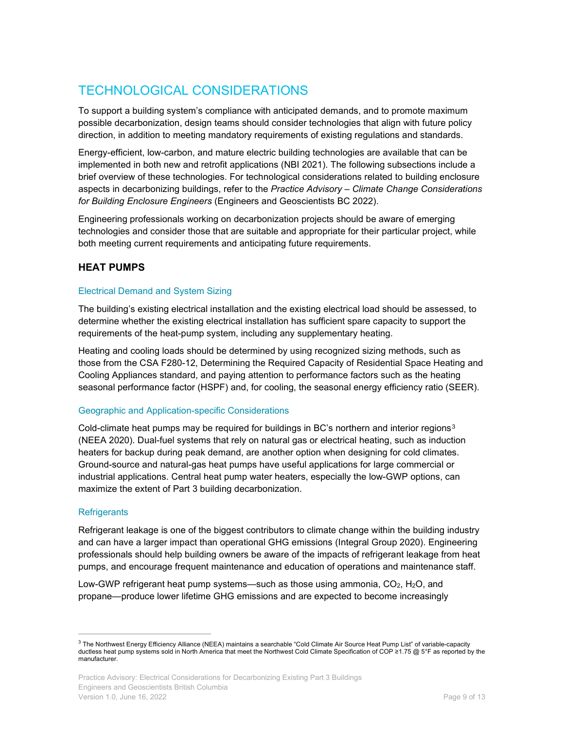### TECHNOLOGICAL CONSIDERATIONS

To support a building system's compliance with anticipated demands, and to promote maximum possible decarbonization, design teams should consider technologies that align with future policy direction, in addition to meeting mandatory requirements of existing regulations and standards.

Energy-efficient, low-carbon, and mature electric building technologies are available that can be implemented in both new and retrofit applications (NBI 2021). The following subsections include a brief overview of these technologies. For technological considerations related to building enclosure aspects in decarbonizing buildings, refer to the *Practice Advisory – Climate Change Considerations for Building Enclosure Engineers* (Engineers and Geoscientists BC 2022).

Engineering professionals working on decarbonization projects should be aware of emerging technologies and consider those that are suitable and appropriate for their particular project, while both meeting current requirements and anticipating future requirements.

#### **HEAT PUMPS**

#### Electrical Demand and System Sizing

The building's existing electrical installation and the existing electrical load should be assessed, to determine whether the existing electrical installation has sufficient spare capacity to support the requirements of the heat-pump system, including any supplementary heating.

Heating and cooling loads should be determined by using recognized sizing methods, such as those from the CSA F280-12, Determining the Required Capacity of Residential Space Heating and Cooling Appliances standard, and paying attention to performance factors such as the heating seasonal performance factor (HSPF) and, for cooling, the seasonal energy efficiency ratio (SEER).

#### Geographic and Application-specific Considerations

Cold-climate heat pumps may be required for buildings in BC's northern and interior regions<sup>[3](#page-8-0)</sup> (NEEA 2020). Dual-fuel systems that rely on natural gas or electrical heating, such as induction heaters for backup during peak demand, are another option when designing for cold climates. Ground-source and natural-gas heat pumps have useful applications for large commercial or industrial applications. Central heat pump water heaters, especially the low-GWP options, can maximize the extent of Part 3 building decarbonization.

#### **Refrigerants**

Refrigerant leakage is one of the biggest contributors to climate change within the building industry and can have a larger impact than operational GHG emissions (Integral Group 2020). Engineering professionals should help building owners be aware of the impacts of refrigerant leakage from heat pumps, and encourage frequent maintenance and education of operations and maintenance staff.

Low-GWP refrigerant heat pump systems—such as those using ammonia,  $CO<sub>2</sub>$ , H<sub>2</sub>O, and propane—produce lower lifetime GHG emissions and are expected to become increasingly

<span id="page-8-0"></span><sup>&</sup>lt;sup>3</sup> The Northwest Energy Efficiency Alliance (NEEA) maintains a searchable "Cold Climate Air Source Heat Pump List" of variable-capacity ductless heat pump systems sold in North America that meet the Northwest Cold Climate Specification of COP ≥1.75 @ 5°F as reported by the manufacturer.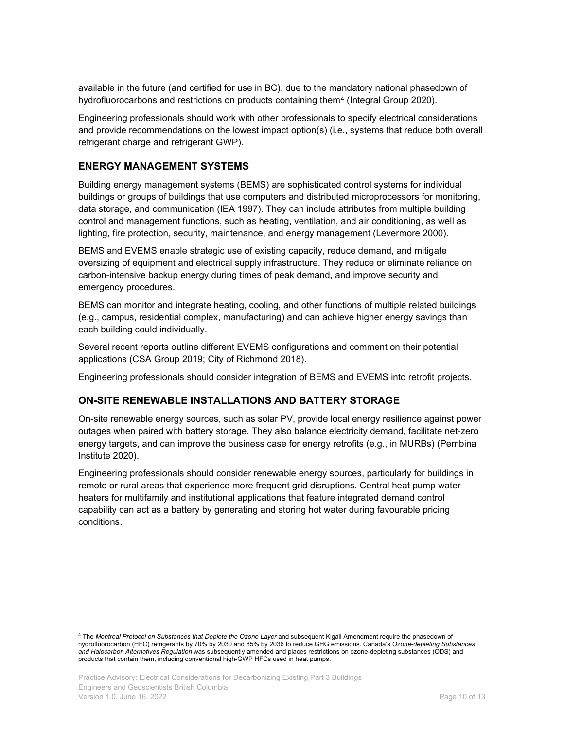available in the future (and certified for use in BC), due to the mandatory national phasedown of hydrofluorocarbons and restrictions on products containing them<sup>[4](#page-9-0)</sup> (Integral Group 2020).

Engineering professionals should work with other professionals to specify electrical considerations and provide recommendations on the lowest impact option(s) (i.e., systems that reduce both overall refrigerant charge and refrigerant GWP).

#### **ENERGY MANAGEMENT SYSTEMS**

Building energy management systems (BEMS) are sophisticated control systems for individual buildings or groups of buildings that use computers and distributed microprocessors for monitoring, data storage, and communication (IEA 1997). They can include attributes from multiple building control and management functions, such as heating, ventilation, and air conditioning, as well as lighting, fire protection, security, maintenance, and energy management (Levermore 2000).

BEMS and EVEMS enable strategic use of existing capacity, reduce demand, and mitigate oversizing of equipment and electrical supply infrastructure. They reduce or eliminate reliance on carbon-intensive backup energy during times of peak demand, and improve security and emergency procedures.

BEMS can monitor and integrate heating, cooling, and other functions of multiple related buildings (e.g., campus, residential complex, manufacturing) and can achieve higher energy savings than each building could individually.

Several recent reports outline different EVEMS configurations and comment on their potential applications (CSA Group 2019; City of Richmond 2018).

Engineering professionals should consider integration of BEMS and EVEMS into retrofit projects.

#### **ON-SITE RENEWABLE INSTALLATIONS AND BATTERY STORAGE**

On-site renewable energy sources, such as solar PV, provide local energy resilience against power outages when paired with battery storage. They also balance electricity demand, facilitate net-zero energy targets, and can improve the business case for energy retrofits (e.g., in MURBs) (Pembina Institute 2020).

Engineering professionals should consider renewable energy sources, particularly for buildings in remote or rural areas that experience more frequent grid disruptions. Central heat pump water heaters for multifamily and institutional applications that feature integrated demand control capability can act as a battery by generating and storing hot water during favourable pricing conditions.

<span id="page-9-0"></span><sup>4</sup> The *Montreal Protocol on Substances that Deplete the Ozone Layer* and subsequent Kigali Amendment require the phasedown of hydrofluorocarbon (HFC) refrigerants by 70% by 2030 and 85% by 2036 to reduce GHG emissions. Canada's *Ozone-depleting Substances and Halocarbon Alternatives Regulation* was subsequently amended and places restrictions on ozone-depleting substances (ODS) and products that contain them, including conventional high-GWP HFCs used in heat pumps.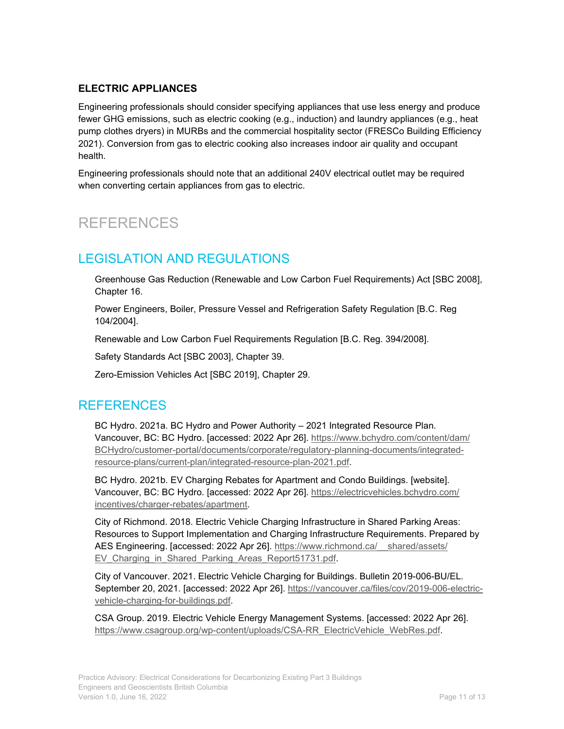#### **ELECTRIC APPLIANCES**

Engineering professionals should consider specifying appliances that use less energy and produce fewer GHG emissions, such as electric cooking (e.g., induction) and laundry appliances (e.g., heat pump clothes dryers) in MURBs and the commercial hospitality sector (FRESCo Building Efficiency 2021). Conversion from gas to electric cooking also increases indoor air quality and occupant health.

Engineering professionals should note that an additional 240V electrical outlet may be required when converting certain appliances from gas to electric.

## REFERENCES

### LEGISLATION AND REGULATIONS

Greenhouse Gas Reduction (Renewable and Low Carbon Fuel Requirements) Act [SBC 2008], Chapter 16.

Power Engineers, Boiler, Pressure Vessel and Refrigeration Safety Regulation [B.C. Reg 104/2004].

Renewable and Low Carbon Fuel Requirements Regulation [B.C. Reg. 394/2008].

Safety Standards Act [SBC 2003], Chapter 39.

Zero-Emission Vehicles Act [SBC 2019], Chapter 29.

### REFERENCES

BC Hydro. 2021a. BC Hydro and Power Authority – 2021 Integrated Resource Plan. Vancouver, BC: BC Hydro. [accessed: 2022 Apr 26]. [https://www.bchydro.com/content/dam/](https://www.bchydro.com/content/dam/BCHydro/customer-portal/documents/corporate/regulatory-planning-documents/integrated-resource-plans/current-plan/integrated-resource-plan-2021.pdf) [BCHydro/customer-portal/documents/corporate/regulatory-planning-documents/integrated](https://www.bchydro.com/content/dam/BCHydro/customer-portal/documents/corporate/regulatory-planning-documents/integrated-resource-plans/current-plan/integrated-resource-plan-2021.pdf)[resource-plans/current-plan/integrated-resource-plan-2021.pdf.](https://www.bchydro.com/content/dam/BCHydro/customer-portal/documents/corporate/regulatory-planning-documents/integrated-resource-plans/current-plan/integrated-resource-plan-2021.pdf)

BC Hydro. 2021b. EV Charging Rebates for Apartment and Condo Buildings. [website]. Vancouver, BC: BC Hydro. [accessed: 2022 Apr 26]. [https://electricvehicles.bchydro.com/](https://electricvehicles.bchydro.com/incentives/charger-rebates/apartment) [incentives/charger-rebates/apartment.](https://electricvehicles.bchydro.com/incentives/charger-rebates/apartment)

City of Richmond. 2018. Electric Vehicle Charging Infrastructure in Shared Parking Areas: Resources to Support Implementation and Charging Infrastructure Requirements. Prepared by AES Engineering. [accessed: 2022 Apr 26]. [https://www.richmond.ca/\\_\\_shared/assets/](https://www.richmond.ca/__shared/assets/EV_Charging_in_Shared_Parking_Areas_Report51731.pdf) EV Charging in Shared Parking Areas Report51731.pdf.

City of Vancouver. 2021. Electric Vehicle Charging for Buildings. Bulletin 2019-006-BU/EL. September 20, 2021. [accessed: 2022 Apr 26]. [https://vancouver.ca/files/cov/2019-006-electric](https://vancouver.ca/files/cov/2019-006-electric-vehicle-charging-for-buildings.pdf)[vehicle-charging-for-buildings.pdf.](https://vancouver.ca/files/cov/2019-006-electric-vehicle-charging-for-buildings.pdf)

CSA Group. 2019. Electric Vehicle Energy Management Systems. [accessed: 2022 Apr 26]. [https://www.csagroup.org/wp-content/uploads/CSA-RR\\_ElectricVehicle\\_WebRes.pdf.](https://www.csagroup.org/wp-content/uploads/CSA-RR_ElectricVehicle_WebRes.pdf)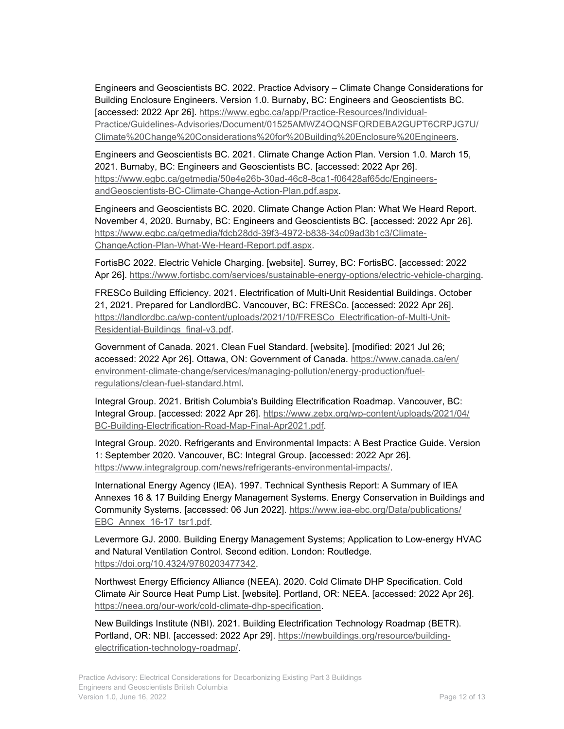Engineers and Geoscientists BC. 2022. Practice Advisory – Climate Change Considerations for Building Enclosure Engineers. Version 1.0. Burnaby, BC: Engineers and Geoscientists BC. [accessed: 2022 Apr 26]. [https://www.egbc.ca/app/Practice-Resources/Individual-](https://www.egbc.ca/app/Practice-Resources/Individual-Practice/Guidelines-Advisories/Document/01525AMWZ4OQNSFQRDEBA2GUPT6CRPJG7U/Climate%20Change%20Considerations%20for%20Building%20Enclosure%20Engineers)[Practice/Guidelines-Advisories/Document/01525AMWZ4OQNSFQRDEBA2GUPT6CRPJG7U/](https://www.egbc.ca/app/Practice-Resources/Individual-Practice/Guidelines-Advisories/Document/01525AMWZ4OQNSFQRDEBA2GUPT6CRPJG7U/Climate%20Change%20Considerations%20for%20Building%20Enclosure%20Engineers) [Climate%20Change%20Considerations%20for%20Building%20Enclosure%20Engineers.](https://www.egbc.ca/app/Practice-Resources/Individual-Practice/Guidelines-Advisories/Document/01525AMWZ4OQNSFQRDEBA2GUPT6CRPJG7U/Climate%20Change%20Considerations%20for%20Building%20Enclosure%20Engineers)

Engineers and Geoscientists BC. 2021. Climate Change Action Plan. Version 1.0. March 15, 2021. Burnaby, BC: Engineers and Geoscientists BC. [accessed: 2022 Apr 26]. [https://www.egbc.ca/getmedia/50e4e26b-30ad-46c8-8ca1-f06428af65dc/Engineers](https://www.egbc.ca/getmedia/50e4e26b-30ad-46c8-8ca1-f06428af65dc/Engineers-andGeoscientists-BC-Climate-Change-Action-Plan.pdf.aspx)[andGeoscientists-BC-Climate-Change-Action-Plan.pdf.aspx.](https://www.egbc.ca/getmedia/50e4e26b-30ad-46c8-8ca1-f06428af65dc/Engineers-andGeoscientists-BC-Climate-Change-Action-Plan.pdf.aspx)

Engineers and Geoscientists BC. 2020. Climate Change Action Plan: What We Heard Report. November 4, 2020. Burnaby, BC: Engineers and Geoscientists BC. [accessed: 2022 Apr 26]. [https://www.egbc.ca/getmedia/fdcb28dd-39f3-4972-b838-34c09ad3b1c3/Climate-](https://www.egbc.ca/getmedia/fdcb28dd-39f3-4972-b838-34c09ad3b1c3/Climate-ChangeAction-Plan-What-We-Heard-Report.pdf.aspx)[ChangeAction-Plan-What-We-Heard-Report.pdf.aspx.](https://www.egbc.ca/getmedia/fdcb28dd-39f3-4972-b838-34c09ad3b1c3/Climate-ChangeAction-Plan-What-We-Heard-Report.pdf.aspx)

FortisBC 2022. Electric Vehicle Charging. [website]. Surrey, BC: FortisBC. [accessed: 2022 Apr 26]. [https://www.fortisbc.com/services/sustainable-energy-options/electric-vehicle-charging.](https://www.fortisbc.com/services/sustainable-energy-options/electric-vehicle-charging)

FRESCo Building Efficiency. 2021. Electrification of Multi-Unit Residential Buildings. October 21, 2021. Prepared for LandlordBC. Vancouver, BC: FRESCo. [accessed: 2022 Apr 26]. [https://landlordbc.ca/wp-content/uploads/2021/10/FRESCo\\_Electrification-of-Multi-Unit-](https://landlordbc.ca/wp-content/uploads/2021/10/FRESCo_Electrification-of-Multi-Unit-Residential-Buildings_final-v3.pdf)[Residential-Buildings\\_final-v3.pdf.](https://landlordbc.ca/wp-content/uploads/2021/10/FRESCo_Electrification-of-Multi-Unit-Residential-Buildings_final-v3.pdf)

Government of Canada. 2021. Clean Fuel Standard. [website]. [modified: 2021 Jul 26; accessed: 2022 Apr 26]. Ottawa, ON: Government of Canada. [https://www.canada.ca/en/](https://www.canada.ca/en/environment-climate-change/services/managing-pollution/energy-production/fuel-regulations/clean-fuel-standard.html) [environment-climate-change/services/managing-pollution/energy-production/fuel](https://www.canada.ca/en/environment-climate-change/services/managing-pollution/energy-production/fuel-regulations/clean-fuel-standard.html)[regulations/clean-fuel-standard.html.](https://www.canada.ca/en/environment-climate-change/services/managing-pollution/energy-production/fuel-regulations/clean-fuel-standard.html)

Integral Group. 2021. British Columbia's Building Electrification Roadmap. Vancouver, BC: Integral Group. [accessed: 2022 Apr 26]. [https://www.zebx.org/wp-content/uploads/2021/04/](https://www.zebx.org/wp-content/uploads/2021/04/BC-Building-Electrification-Road-Map-Final-Apr2021.pdf) [BC-Building-Electrification-Road-Map-Final-Apr2021.pdf.](https://www.zebx.org/wp-content/uploads/2021/04/BC-Building-Electrification-Road-Map-Final-Apr2021.pdf)

Integral Group. 2020. Refrigerants and Environmental Impacts: A Best Practice Guide. Version 1: September 2020. Vancouver, BC: Integral Group. [accessed: 2022 Apr 26]. [https://www.integralgroup.com/news/refrigerants-environmental-impacts/.](https://www.integralgroup.com/news/refrigerants-environmental-impacts/)

International Energy Agency (IEA). 1997. Technical Synthesis Report: A Summary of IEA Annexes 16 & 17 Building Energy Management Systems. Energy Conservation in Buildings and Community Systems. [accessed: 06 Jun 2022]. [https://www.iea-ebc.org/Data/publications/](https://www.iea-ebc.org/Data/publications/EBC_Annex_16-17_tsr1.pdf) EBC Annex 16-17 tsr1.pdf.

Levermore GJ. 2000. Building Energy Management Systems; Application to Low-energy HVAC and Natural Ventilation Control. Second edition. London: Routledge. [https://doi.org/10.4324/9780203477342.](https://doi.org/10.4324/9780203477342)

Northwest Energy Efficiency Alliance (NEEA). 2020. Cold Climate DHP Specification. Cold Climate Air Source Heat Pump List. [website]. Portland, OR: NEEA. [accessed: 2022 Apr 26]. [https://neea.org/our-work/cold-climate-dhp-specification.](https://neea.org/our-work/cold-climate-dhp-specification)

New Buildings Institute (NBI). 2021. Building Electrification Technology Roadmap (BETR). Portland, OR: NBI. [accessed: 2022 Apr 29]. [https://newbuildings.org/resource/building](https://newbuildings.org/resource/building-electrification-technology-roadmap/)[electrification-technology-roadmap/.](https://newbuildings.org/resource/building-electrification-technology-roadmap/)